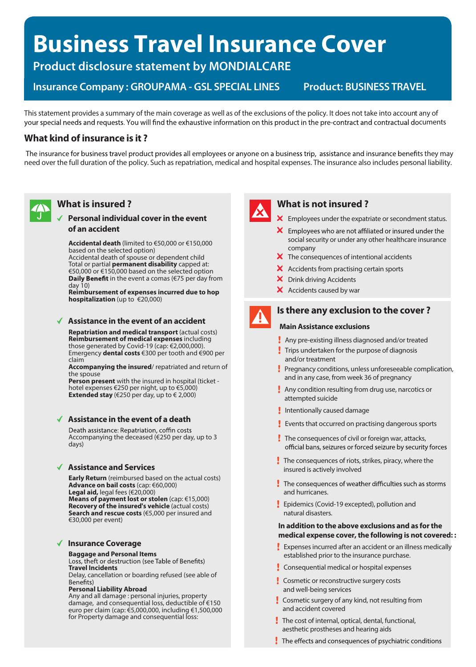# **Business Travel Insurance Cover**

**Product disclosure statement by MONDIALCARE**

**Insurance Company : GROUPAMA - GSL SPECIAL LINES Product: BUSINESS TRAVEL**

This statement provides a summary of the main coverage as well as of the exclusions of the policy. It does not take into account any of your special needs and requests. You will find the exhaustive information on this product in the pre-contract and contractual documents

#### **What kind of insurance is it ?**

The insurance for business travel product provides all employees or anyone on a business trip, assistance and insurance benefits they may need over the full duration of the policy. Such asrepatriation, medical and hospital expenses. The insurance also includes personal liability.



### **What is insured ?**

#### **Personal individual coverin the event of an accident**

**Accidental death** (limited to €50,000 or €150,000 based on the selected option)

Accidental death of spouse or dependent child Total or partial **permanent disability** capped at: €50,000 or €150,000 based on the selected option **Daily Benefit** in the event a comas ( $\epsilon$ 75 per day from day 10)

**Reimbursement of expenses incurred due to hop hospitalization** (up to €20,000)

#### **Assistance in the event of an accident**

**Repatriation and medical transport** (actual costs) **Reimbursement of medical expenses** including those generated by Covid-19 (cap: €2,000,000). Emergency **dental costs** €300 per tooth and €900 per claim

**Accompanying the insured**/ repatriated and return of the spouse

**Person present** with the insured in hospital (ticket hotel expenses €250 per night, up to €5,000) **Extended stay**  $(\text{\textsterling}250 \text{ per day}, \text{up to } \text{\textsterling}2,000)$ 

#### **Assistance in the event of a death**

Death assistance: Repatriation, coffin costs Accompanying the deceased (€250 per day, up to 3 days)

#### **Assistance and Services**

**Early Return** (reimbursed based on the actual costs) **Advance on bail costs** (cap: €60,000) **Legal aid,** legal fees (€20,000) **Means of payment lost or stolen** (cap: €15,000) **Recovery of the insured's vehicle** (actual costs) **Search and rescue costs** (€5,000 per insured and €30,000 per event)

#### **Insurance Coverage**

## **Baggage and Personal Items**

**Travel Incidents** 

Delay, cancellation or boarding refused (see able of

#### **Personal Liability Abroad**

Any and all damage : personal injuries, property damage, and consequential loss, deductible of €150 euro per claim (cap: €5,000,000, including €1,500,000 for Property damage and consequential loss:



#### **What is not insured ?**

X Employees under the expatriate or secondment status.

- $\mathsf{\times}$  Employees who are not affiliated or insured under the social security or under any other healthcare insurance company
- $\boldsymbol{\times}$  The consequences of intentional accidents
- $\boldsymbol{\times}$  Accidents from practising certain sports
- **X** Drink driving Accidents
- X Accidents caused by war



#### **Is there any exclusion to the cover ?**

#### **Main Assistance exclusions**

- Any pre-existing illness diagnosed and/or treated
- **Trips undertaken for the purpose of diagnosis** and/or treatment
- Pregnancy conditions, unless unforeseeable complication, and in any case, from week 36 of pregnancy
- **Any condition resulting from drug use, narcotics or** attempted suicide
- Intentionally caused damage
- Events that occurred on practising dangerous sports
- The consequences of civil or foreign war, attacks, official bans, seizures or forced seizure by security forces
- The consequences of riots, strikes, piracy, where the insured is actively involved
- $\frac{1}{2}$  The consequences of weather difficulties such as storms and hurricanes.
- **Epidemics (Covid-19 excepted), pollution and** natural disasters.

#### **In addition to the above exclusions and as for the medical expense cover, the following is not covered: :**

- **Expenses incurred after an accident or an illness medically** established prior to the insurance purchase.
- **Consequential medical or hospital expenses**
- **Cosmetic or reconstructive surgery costs** and well-being services
- Cosmetic surgery of any kind, not resulting from and accident covered
- The cost of internal, optical, dental, functional, aesthetic prostheses and hearing aids
- The effects and consequences of psychiatric conditions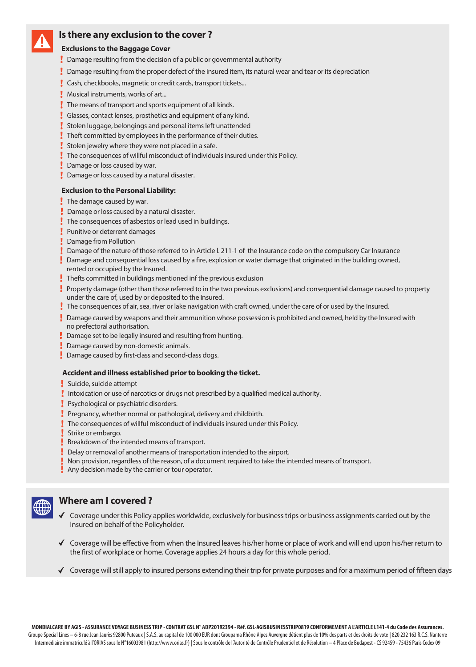

#### **Is there any exclusion to the cover ?**

#### **Exclusions to the Baggage Cover**

- Damage resulting from the decision of a public or governmental authority
- Damage resulting from the proper defect of the insured item, its natural wear and tear or its depreciation
- **Cash, checkbooks, magnetic or credit cards, transport tickets...**
- **Musical instruments, works of art...**
- The means of transport and sports equipment of all kinds.
- Glasses, contact lenses, prosthetics and equipment of any kind.
- Stolen luggage, belongings and personal items left unattended
- Theft committed by employees in the performance of their duties.
- Stolen jewelry where they were not placed in a safe.
- The consequences of willful misconduct of individuals insured under this Policy.
- **Damage or loss caused by war.**
- Damage or loss caused by a natural disaster.

#### **Exclusion to the Personal Liability:**

- $\frac{1}{2}$  The damage caused by war.
- Damage or loss caused by a natural disaster.
- The consequences of asbestos or lead used in buildings.
- **Punitive or deterrent damages**
- **Damage from Pollution**
- Damage of the nature of those referred to in Article l. 211-1 of the Insurance code on the compulsory Car Insurance
- Damage and consequential loss caused by a fire, explosion or water damage that originated in the building owned, rented or occupied by the Insured.
- Thefts committed in buildings mentioned inf the previous exclusion
- Property damage (other than those referred to in the two previous exclusions) and consequential damage caused to property under the care of, used by or deposited to the Insured.
- The consequences of air, sea, river or lake navigation with craft owned, under the care of or used by the Insured.
- Damage caused by weapons and their ammunition whose possession is prohibited and owned, held by the Insured with no prefectoral authorisation.
- **Damage set to be legally insured and resulting from hunting.**
- Damage caused by non-domestic animals.
- $\blacksquare$  Damage caused by first-class and second-class dogs.

#### **Accident and illness established prior to booking the ticket.**

- Suicide, suicide attempt
- Intoxication or use of narcotics or drugs not prescribed by a qualified medical authority.
- **Psychological or psychiatric disorders.**
- Pregnancy, whether normal or pathological, delivery and childbirth.
- The consequences of willful misconduct of individuals insured under this Policy.
- Strike or embargo.
- Breakdown of the intended means of transport.
- Delay or removal of another means of transportation intended to the airport.
- Non provision, regardless of the reason, of a document required to take the intended means of transport.
- Any decision made by the carrier or tour operator.



#### **Where am I covered ?**

- $\checkmark$  Coverage under this Policy applies worldwide, exclusively for business trips or business assignments carried out by the Insured on behalf of the Policyholder.
- $\checkmark$  Coverage will be effective from when the Insured leaves his/her home or place of work and will end upon his/her return to the first of workplace or home. Coverage applies 24 hours a day for this whole period.
- ◆ Coverage will still apply to insured persons extending their trip for private purposes and for a maximum period of fifteen days